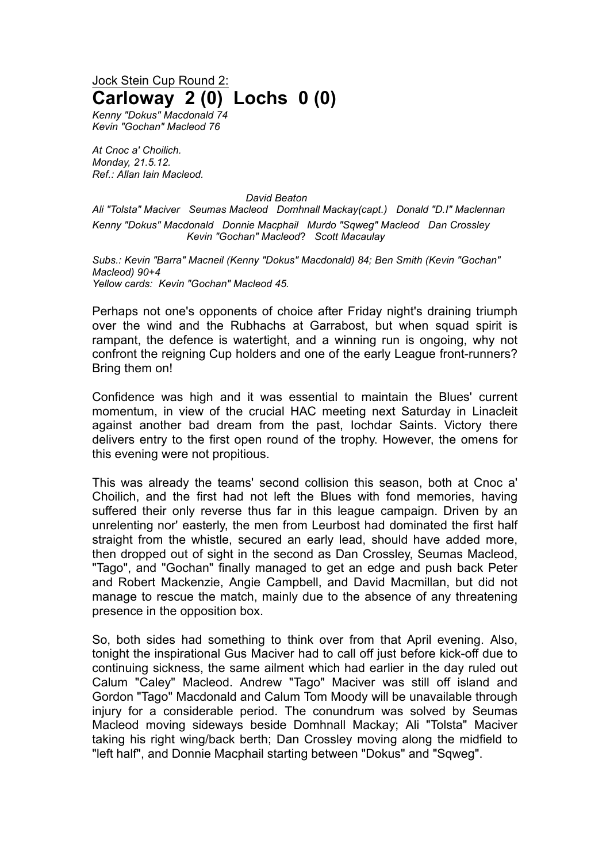## Jock Stein Cup Round 2: **Carloway 2 (0) Lochs 0 (0)**

*Kenny "Dokus" Macdonald 74 Kevin "Gochan" Macleod 76*

*At Cnoc a' Choilich. Monday, 21.5.12. Ref.: Allan Iain Macleod.*

*David Beaton*

*Ali "Tolsta" Maciver Seumas Macleod Domhnall Mackay(capt.) Donald "D.I" Maclennan Kenny "Dokus" Macdonald Donnie Macphail Murdo "Sqweg" Macleod Dan Crossley Kevin "Gochan" Macleod*? *Scott Macaulay*

*Subs.: Kevin "Barra" Macneil (Kenny "Dokus" Macdonald) 84; Ben Smith (Kevin "Gochan" Macleod) 90+4 Yellow cards: Kevin "Gochan" Macleod 45.*

Perhaps not one's opponents of choice after Friday night's draining triumph over the wind and the Rubhachs at Garrabost, but when squad spirit is rampant, the defence is watertight, and a winning run is ongoing, why not confront the reigning Cup holders and one of the early League front-runners? Bring them on!

Confidence was high and it was essential to maintain the Blues' current momentum, in view of the crucial HAC meeting next Saturday in Linacleit against another bad dream from the past, Iochdar Saints. Victory there delivers entry to the first open round of the trophy. However, the omens for this evening were not propitious.

This was already the teams' second collision this season, both at Cnoc a' Choilich, and the first had not left the Blues with fond memories, having suffered their only reverse thus far in this league campaign. Driven by an unrelenting nor' easterly, the men from Leurbost had dominated the first half straight from the whistle, secured an early lead, should have added more, then dropped out of sight in the second as Dan Crossley, Seumas Macleod, "Tago", and "Gochan" finally managed to get an edge and push back Peter and Robert Mackenzie, Angie Campbell, and David Macmillan, but did not manage to rescue the match, mainly due to the absence of any threatening presence in the opposition box.

So, both sides had something to think over from that April evening. Also, tonight the inspirational Gus Maciver had to call off just before kick-off due to continuing sickness, the same ailment which had earlier in the day ruled out Calum "Caley" Macleod. Andrew "Tago" Maciver was still off island and Gordon "Tago" Macdonald and Calum Tom Moody will be unavailable through injury for a considerable period. The conundrum was solved by Seumas Macleod moving sideways beside Domhnall Mackay; Ali "Tolsta" Maciver taking his right wing/back berth; Dan Crossley moving along the midfield to "left half", and Donnie Macphail starting between "Dokus" and "Sqweg".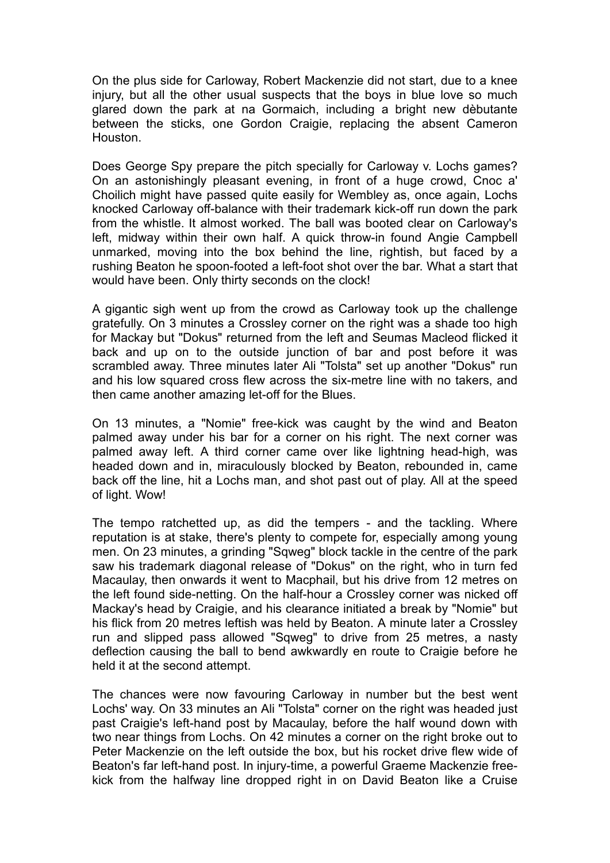On the plus side for Carloway, Robert Mackenzie did not start, due to a knee injury, but all the other usual suspects that the boys in blue love so much glared down the park at na Gormaich, including a bright new dèbutante between the sticks, one Gordon Craigie, replacing the absent Cameron Houston.

Does George Spy prepare the pitch specially for Carloway v. Lochs games? On an astonishingly pleasant evening, in front of a huge crowd, Cnoc a' Choilich might have passed quite easily for Wembley as, once again, Lochs knocked Carloway off-balance with their trademark kick-off run down the park from the whistle. It almost worked. The ball was booted clear on Carloway's left, midway within their own half. A quick throw-in found Angie Campbell unmarked, moving into the box behind the line, rightish, but faced by a rushing Beaton he spoon-footed a left-foot shot over the bar. What a start that would have been. Only thirty seconds on the clock!

A gigantic sigh went up from the crowd as Carloway took up the challenge gratefully. On 3 minutes a Crossley corner on the right was a shade too high for Mackay but "Dokus" returned from the left and Seumas Macleod flicked it back and up on to the outside junction of bar and post before it was scrambled away. Three minutes later Ali "Tolsta" set up another "Dokus" run and his low squared cross flew across the six-metre line with no takers, and then came another amazing let-off for the Blues.

On 13 minutes, a "Nomie" free-kick was caught by the wind and Beaton palmed away under his bar for a corner on his right. The next corner was palmed away left. A third corner came over like lightning head-high, was headed down and in, miraculously blocked by Beaton, rebounded in, came back off the line, hit a Lochs man, and shot past out of play. All at the speed of light. Wow!

The tempo ratchetted up, as did the tempers - and the tackling. Where reputation is at stake, there's plenty to compete for, especially among young men. On 23 minutes, a grinding "Sqweg" block tackle in the centre of the park saw his trademark diagonal release of "Dokus" on the right, who in turn fed Macaulay, then onwards it went to Macphail, but his drive from 12 metres on the left found side-netting. On the half-hour a Crossley corner was nicked off Mackay's head by Craigie, and his clearance initiated a break by "Nomie" but his flick from 20 metres leftish was held by Beaton. A minute later a Crossley run and slipped pass allowed "Sqweg" to drive from 25 metres, a nasty deflection causing the ball to bend awkwardly en route to Craigie before he held it at the second attempt.

The chances were now favouring Carloway in number but the best went Lochs' way. On 33 minutes an Ali "Tolsta" corner on the right was headed just past Craigie's left-hand post by Macaulay, before the half wound down with two near things from Lochs. On 42 minutes a corner on the right broke out to Peter Mackenzie on the left outside the box, but his rocket drive flew wide of Beaton's far left-hand post. In injury-time, a powerful Graeme Mackenzie freekick from the halfway line dropped right in on David Beaton like a Cruise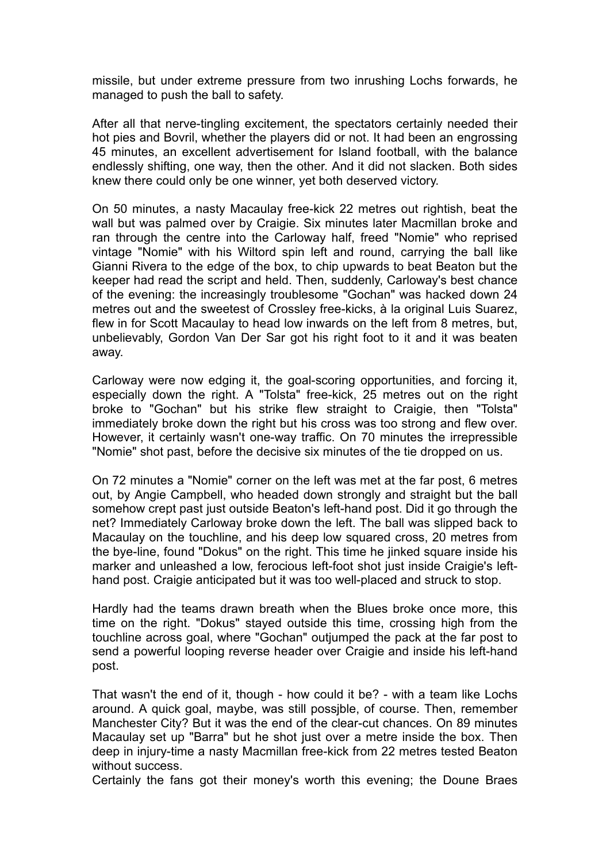missile, but under extreme pressure from two inrushing Lochs forwards, he managed to push the ball to safety.

After all that nerve-tingling excitement, the spectators certainly needed their hot pies and Bovril, whether the players did or not. It had been an engrossing 45 minutes, an excellent advertisement for Island football, with the balance endlessly shifting, one way, then the other. And it did not slacken. Both sides knew there could only be one winner, yet both deserved victory.

On 50 minutes, a nasty Macaulay free-kick 22 metres out rightish, beat the wall but was palmed over by Craigie. Six minutes later Macmillan broke and ran through the centre into the Carloway half, freed "Nomie" who reprised vintage "Nomie" with his Wiltord spin left and round, carrying the ball like Gianni Rivera to the edge of the box, to chip upwards to beat Beaton but the keeper had read the script and held. Then, suddenly, Carloway's best chance of the evening: the increasingly troublesome "Gochan" was hacked down 24 metres out and the sweetest of Crossley free-kicks, à la original Luis Suarez, flew in for Scott Macaulay to head low inwards on the left from 8 metres, but, unbelievably, Gordon Van Der Sar got his right foot to it and it was beaten away.

Carloway were now edging it, the goal-scoring opportunities, and forcing it, especially down the right. A "Tolsta" free-kick, 25 metres out on the right broke to "Gochan" but his strike flew straight to Craigie, then "Tolsta" immediately broke down the right but his cross was too strong and flew over. However, it certainly wasn't one-way traffic. On 70 minutes the irrepressible "Nomie" shot past, before the decisive six minutes of the tie dropped on us.

On 72 minutes a "Nomie" corner on the left was met at the far post, 6 metres out, by Angie Campbell, who headed down strongly and straight but the ball somehow crept past just outside Beaton's left-hand post. Did it go through the net? Immediately Carloway broke down the left. The ball was slipped back to Macaulay on the touchline, and his deep low squared cross, 20 metres from the bye-line, found "Dokus" on the right. This time he jinked square inside his marker and unleashed a low, ferocious left-foot shot just inside Craigie's lefthand post. Craigie anticipated but it was too well-placed and struck to stop.

Hardly had the teams drawn breath when the Blues broke once more, this time on the right. "Dokus" stayed outside this time, crossing high from the touchline across goal, where "Gochan" outjumped the pack at the far post to send a powerful looping reverse header over Craigie and inside his left-hand post.

That wasn't the end of it, though - how could it be? - with a team like Lochs around. A quick goal, maybe, was still possjble, of course. Then, remember Manchester City? But it was the end of the clear-cut chances. On 89 minutes Macaulay set up "Barra" but he shot just over a metre inside the box. Then deep in injury-time a nasty Macmillan free-kick from 22 metres tested Beaton without success.

Certainly the fans got their money's worth this evening; the Doune Braes